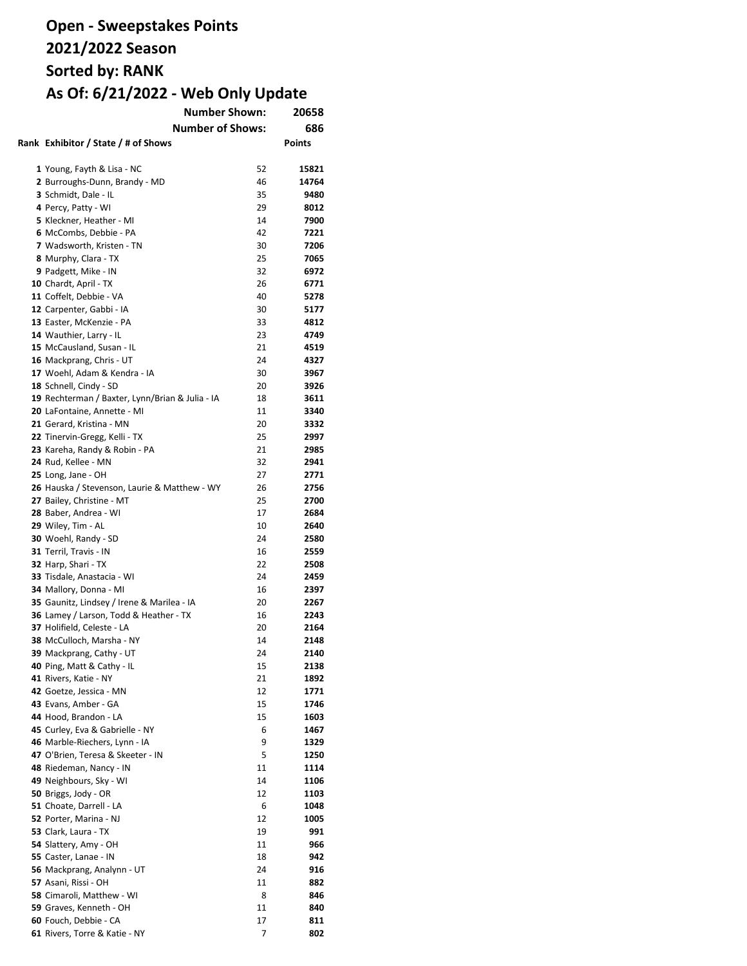| <b>Number Shown:</b><br>20658                                        |          |               |
|----------------------------------------------------------------------|----------|---------------|
| <b>Number of Shows:</b>                                              |          | 686           |
| Rank Exhibitor / State / # of Shows                                  |          | <b>Points</b> |
|                                                                      |          |               |
| 1 Young, Fayth & Lisa - NC                                           | 52       | 15821         |
| 2 Burroughs-Dunn, Brandy - MD                                        | 46       | 14764         |
| 3 Schmidt, Dale - IL                                                 | 35       | 9480          |
| 4 Percy, Patty - WI                                                  | 29       | 8012          |
| 5 Kleckner, Heather - MI                                             | 14       | 7900          |
| 6 McCombs, Debbie - PA                                               | 42       | 7221          |
| 7 Wadsworth, Kristen - TN                                            | 30       | 7206          |
| 8 Murphy, Clara - TX                                                 | 25       | 7065          |
| 9 Padgett, Mike - IN                                                 | 32       | 6972          |
| 10 Chardt, April - TX                                                | 26       | 6771          |
| 11 Coffelt, Debbie - VA                                              | 40       | 5278          |
| 12 Carpenter, Gabbi - IA                                             | 30       | 5177          |
| 13 Easter, McKenzie - PA                                             | 33       | 4812          |
| 14 Wauthier, Larry - IL                                              | 23       | 4749          |
| 15 McCausland, Susan - IL                                            | 21       | 4519          |
| 16 Mackprang, Chris - UT                                             | 24       | 4327          |
| 17 Woehl, Adam & Kendra - IA                                         | 30       | 3967          |
| 18 Schnell, Cindy - SD                                               | 20       | 3926          |
| 19 Rechterman / Baxter, Lynn/Brian & Julia - IA                      | 18       | 3611          |
| 20 LaFontaine, Annette - MI                                          | 11       | 3340          |
| 21 Gerard, Kristina - MN                                             | 20       | 3332          |
| 22 Tinervin-Gregg, Kelli - TX                                        | 25       | 2997          |
| 23 Kareha, Randy & Robin - PA                                        | 21       | 2985          |
| 24 Rud, Kellee - MN                                                  | 32       | 2941          |
| 25 Long, Jane - OH                                                   | 27       | 2771          |
| 26 Hauska / Stevenson, Laurie & Matthew - WY                         | 26       | 2756          |
| 27 Bailey, Christine - MT                                            | 25       | 2700          |
| 28 Baber, Andrea - WI                                                | 17       | 2684          |
| 29 Wiley, Tim - AL                                                   | 10       | 2640          |
| 30 Woehl, Randy - SD                                                 | 24       | 2580          |
| 31 Terril, Travis - IN                                               | 16       | 2559          |
| 32 Harp, Shari - TX                                                  | 22       | 2508          |
| 33 Tisdale, Anastacia - WI                                           | 24       | 2459          |
| 34 Mallory, Donna - MI<br>35 Gaunitz, Lindsey / Irene & Marilea - IA | 16<br>20 | 2397<br>2267  |
| 36 Lamey / Larson, Todd & Heather - TX                               | 16       | 2243          |
| 37 Holifield, Celeste - LA                                           | 20       | 2164          |
| 38 McCulloch, Marsha - NY                                            | 14       | 2148          |
| 39 Mackprang, Cathy - UT                                             | 24       | 2140          |
| 40 Ping, Matt & Cathy - IL                                           | 15       | 2138          |
| 41 Rivers, Katie - NY                                                | 21       | 1892          |
| 42 Goetze, Jessica - MN                                              | 12       | 1771          |
| 43 Evans, Amber - GA                                                 | 15       | 1746          |
| 44 Hood, Brandon - LA                                                | 15       | 1603          |
| 45 Curley, Eva & Gabrielle - NY                                      | 6        | 1467          |
| 46 Marble-Riechers, Lynn - IA                                        | 9        | 1329          |
| 47 O'Brien, Teresa & Skeeter - IN                                    | 5        | 1250          |
| 48 Riedeman, Nancy - IN                                              | 11       | 1114          |
| 49 Neighbours, Sky - WI                                              | 14       | 1106          |
| 50 Briggs, Jody - OR                                                 | 12       | 1103          |
| 51 Choate, Darrell - LA                                              | 6        | 1048          |
| 52 Porter, Marina - NJ                                               | 12       | 1005          |
| 53 Clark, Laura - TX                                                 | 19       | 991           |
| 54 Slattery, Amy - OH                                                | 11       | 966           |
| 55 Caster, Lanae - IN                                                | 18       | 942           |
| 56 Mackprang, Analynn - UT                                           | 24       | 916           |
| 57 Asani, Rissi - OH                                                 | 11       | 882           |
| 58 Cimaroli, Matthew - WI                                            | 8        | 846           |
| 59 Graves, Kenneth - OH                                              | 11       | 840           |
| 60 Fouch, Debbie - CA                                                | 17       | 811           |
| 61 Rivers, Torre & Katie - NY                                        | 7        | 802           |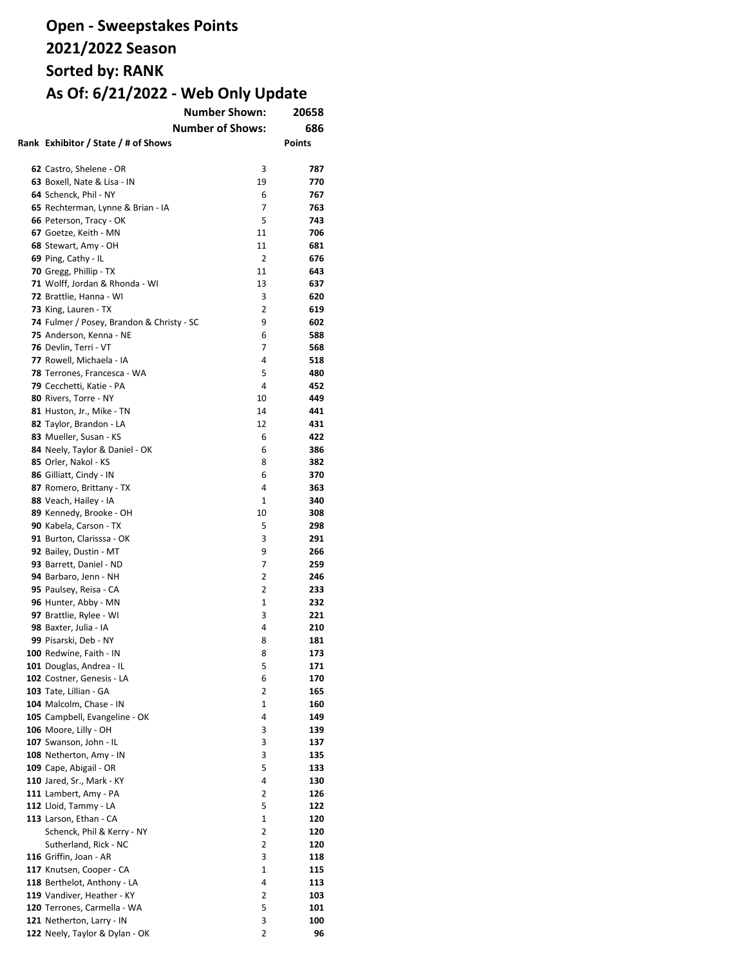| <b>Number Shown:</b>                                              | 20658          |               |
|-------------------------------------------------------------------|----------------|---------------|
| <b>Number of Shows:</b>                                           |                | 686           |
| Rank Exhibitor / State / # of Shows                               |                | <b>Points</b> |
|                                                                   |                |               |
| 62 Castro, Shelene - OR                                           | 3              | 787           |
| 63 Boxell, Nate & Lisa - IN                                       | 19             | 770           |
| 64 Schenck, Phil - NY                                             | 6              | 767           |
| 65 Rechterman, Lynne & Brian - IA                                 | 7              | 763           |
| 66 Peterson, Tracy - OK                                           | 5              | 743           |
| 67 Goetze, Keith - MN                                             | 11             | 706           |
| 68 Stewart, Amy - OH                                              | 11             | 681           |
| 69 Ping, Cathy - IL                                               | 2              | 676           |
| 70 Gregg, Phillip - TX                                            | 11             | 643           |
| 71 Wolff, Jordan & Rhonda - WI                                    | 13             | 637           |
|                                                                   | 3              |               |
| 72 Brattlie, Hanna - WI                                           | 2              | 620<br>619    |
| 73 King, Lauren - TX<br>74 Fulmer / Posey, Brandon & Christy - SC | 9              | 602           |
| 75 Anderson, Kenna - NE                                           | 6              | 588           |
|                                                                   | 7              | 568           |
| 76 Devlin, Terri - VT<br>77 Rowell, Michaela - IA                 | 4              |               |
|                                                                   |                | 518           |
| 78 Terrones, Francesca - WA                                       | 5              | 480           |
| 79 Cecchetti, Katie - PA                                          | 4              | 452           |
| 80 Rivers, Torre - NY                                             | 10             | 449           |
| 81 Huston, Jr., Mike - TN                                         | 14             | 441           |
| 82 Taylor, Brandon - LA                                           | 12             | 431           |
| 83 Mueller, Susan - KS                                            | 6              | 422           |
| 84 Neely, Taylor & Daniel - OK                                    | 6              | 386           |
| 85 Orler, Nakol - KS                                              | 8              | 382           |
| 86 Gilliatt, Cindy - IN                                           | 6              | 370           |
| 87 Romero, Brittany - TX                                          | 4              | 363           |
| 88 Veach, Hailey - IA                                             | 1              | 340           |
| 89 Kennedy, Brooke - OH                                           | 10             | 308           |
| 90 Kabela, Carson - TX                                            | 5              | 298           |
| 91 Burton, Clarisssa - OK                                         | 3              | 291           |
| 92 Bailey, Dustin - MT                                            | 9              | 266           |
| 93 Barrett, Daniel - ND                                           | 7              | 259           |
| 94 Barbaro, Jenn - NH                                             | 2              | 246           |
| 95 Paulsey, Reisa - CA                                            | 2              | 233           |
| 96 Hunter, Abby - MN                                              | 1              | 232           |
| 97 Brattlie, Rylee - WI                                           | 3              | 221           |
| 98 Baxter, Julia - IA                                             | 4              | 210           |
| 99 Pisarski, Deb - NY                                             | 8              | 181           |
| 100 Redwine. Faith - IN                                           | 8              | 173           |
| 101 Douglas, Andrea - IL                                          | 5              | 171           |
| 102 Costner, Genesis - LA                                         | 6              | 170           |
| 103 Tate, Lillian - GA                                            | 2              | 165           |
| 104 Malcolm, Chase - IN                                           | 1              | 160           |
| 105 Campbell, Evangeline - OK                                     | 4              | 149           |
| 106 Moore, Lilly - OH                                             | 3              | 139           |
| 107 Swanson, John - IL                                            | 3              | 137           |
| 108 Netherton, Amy - IN                                           | 3              | 135           |
| 109 Cape, Abigail - OR                                            | 5              | 133           |
| 110 Jared, Sr., Mark - KY                                         | 4              | 130           |
| 111 Lambert, Amy - PA                                             | 2              | 126           |
| 112 Lloid, Tammy - LA                                             | 5              | 122           |
| 113 Larson, Ethan - CA                                            | $\mathbf{1}$   | 120           |
| Schenck, Phil & Kerry - NY                                        | $\overline{2}$ | 120           |
| Sutherland, Rick - NC                                             | 2              | 120           |
| 116 Griffin, Joan - AR                                            | 3              | 118           |
| 117 Knutsen, Cooper - CA                                          | $\mathbf{1}$   | 115           |
| 118 Berthelot, Anthony - LA                                       | 4              | 113           |
| 119 Vandiver, Heather - KY                                        | 2              | 103           |
| 120 Terrones, Carmella - WA                                       | 5              | 101           |
| 121 Netherton, Larry - IN                                         | 3              | 100           |
| 122 Neely, Taylor & Dylan - OK                                    | 2              | 96            |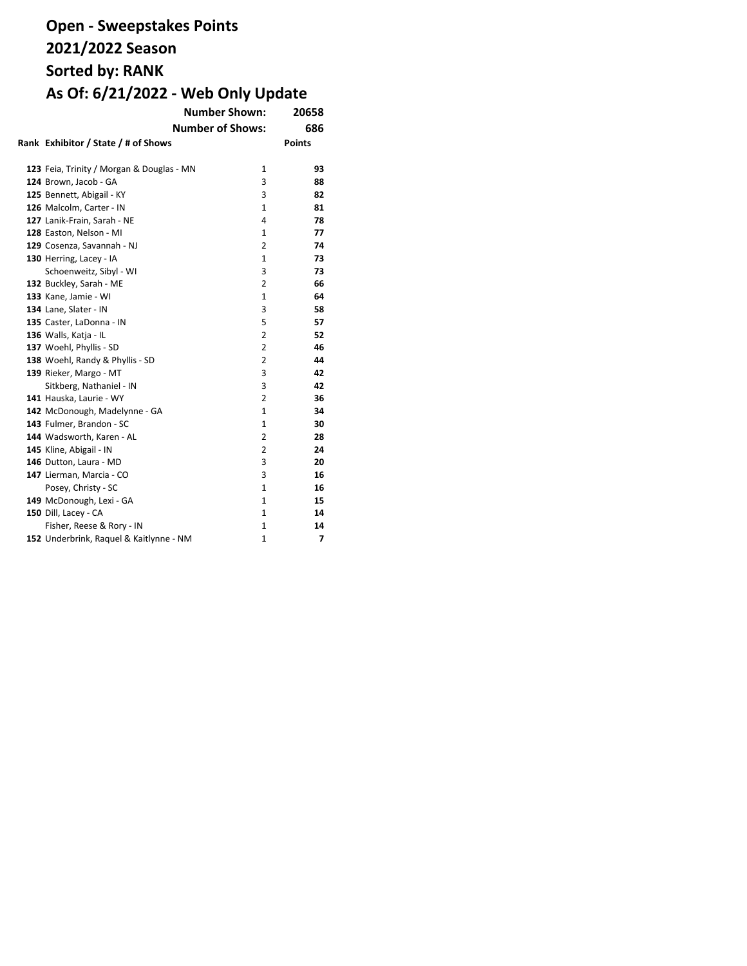| <b>Number Shown:</b>                      |                | 20658         |  |  |  |
|-------------------------------------------|----------------|---------------|--|--|--|
| <b>Number of Shows:</b>                   |                |               |  |  |  |
| Rank Exhibitor / State / # of Shows       |                | <b>Points</b> |  |  |  |
|                                           |                |               |  |  |  |
| 123 Feia, Trinity / Morgan & Douglas - MN | 1              | 93            |  |  |  |
| 124 Brown, Jacob - GA                     | 3              | 88            |  |  |  |
| 125 Bennett, Abigail - KY                 | 3              | 82            |  |  |  |
| 126 Malcolm, Carter - IN                  | 1              | 81            |  |  |  |
| 127 Lanik-Frain, Sarah - NE               | 4              | 78            |  |  |  |
| 128 Easton, Nelson - MI                   | 1              | 77            |  |  |  |
| 129 Cosenza, Savannah - NJ                | 2              | 74            |  |  |  |
| 130 Herring, Lacey - IA                   | $\mathbf{1}$   | 73            |  |  |  |
| Schoenweitz, Sibyl - WI                   | 3              | 73            |  |  |  |
| 132 Buckley, Sarah - ME                   | 2              | 66            |  |  |  |
| 133 Kane, Jamie - WI                      | 1              | 64            |  |  |  |
| 134 Lane, Slater - IN                     | 3              | 58            |  |  |  |
| 135 Caster, LaDonna - IN                  | 5              | 57            |  |  |  |
| 136 Walls, Katja - IL                     | $\overline{2}$ | 52            |  |  |  |
| 137 Woehl, Phyllis - SD                   | 2              | 46            |  |  |  |
| 138 Woehl, Randy & Phyllis - SD           | 2              | 44            |  |  |  |
| 139 Rieker, Margo - MT                    | 3              | 42            |  |  |  |
| Sitkberg, Nathaniel - IN                  | 3              | 42            |  |  |  |
| 141 Hauska, Laurie - WY                   | $\overline{2}$ | 36            |  |  |  |
| 142 McDonough, Madelynne - GA             | $\mathbf{1}$   | 34            |  |  |  |
| 143 Fulmer, Brandon - SC                  | 1              | 30            |  |  |  |
| 144 Wadsworth, Karen - AL                 | 2              | 28            |  |  |  |
| 145 Kline, Abigail - IN                   | 2              | 24            |  |  |  |
| 146 Dutton, Laura - MD                    | 3              | 20            |  |  |  |
| 147 Lierman, Marcia - CO                  | 3              | 16            |  |  |  |
| Posey, Christy - SC                       | 1              | 16            |  |  |  |
| 149 McDonough, Lexi - GA                  | 1              | 15            |  |  |  |
| 150 Dill, Lacey - CA                      | 1              | 14            |  |  |  |
| Fisher, Reese & Rory - IN                 | 1              | 14            |  |  |  |
| 152 Underbrink, Raquel & Kaitlynne - NM   | $\mathbf{1}$   | 7             |  |  |  |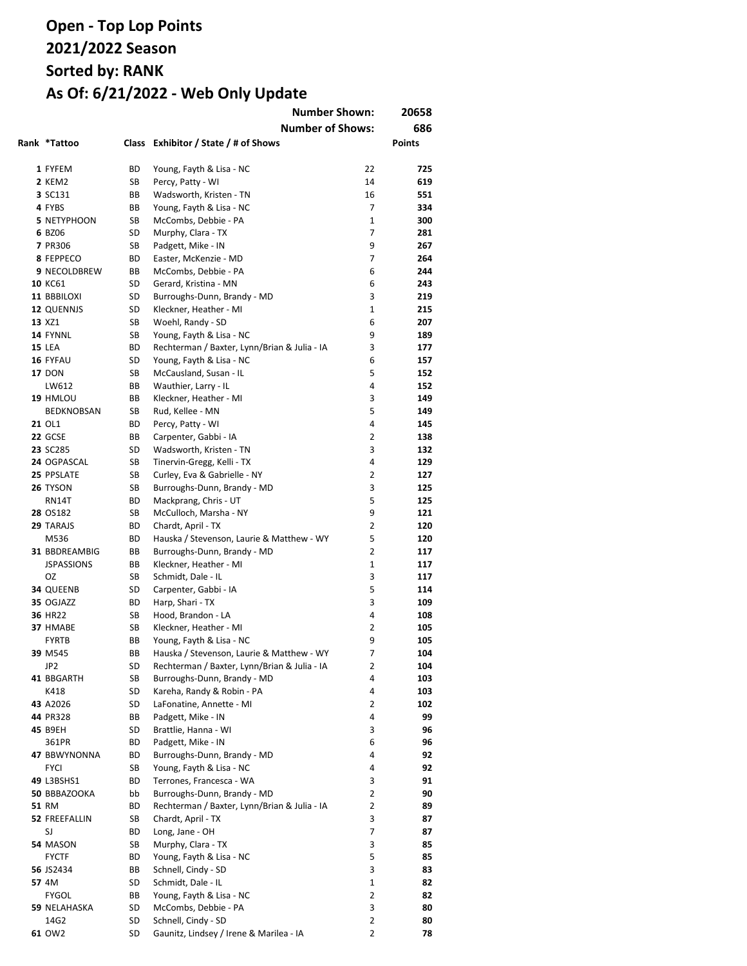|                      |          | <b>Number Shown:</b>                           |                   | 20658         |
|----------------------|----------|------------------------------------------------|-------------------|---------------|
|                      |          | <b>Number of Shows:</b>                        |                   | 686           |
| Rank *Tattoo         |          | Class Exhibitor / State / # of Shows           |                   | <b>Points</b> |
|                      |          |                                                |                   |               |
| 1 FYFEM              | ВD       | Young, Fayth & Lisa - NC                       | 22                | 725           |
| 2 KEM2               | SB       | Percy, Patty - WI                              | 14                | 619           |
| 3 SC131              | BB       | Wadsworth, Kristen - TN                        | 16                | 551           |
| 4 FYBS               | BВ       | Young, Fayth & Lisa - NC                       | 7<br>$\mathbf{1}$ | 334           |
| <b>5 NETYPHOON</b>   | SB       | McCombs, Debbie - PA                           | 7                 | 300           |
| 6 BZ06<br>7 PR306    | SD<br>SB | Murphy, Clara - TX<br>Padgett, Mike - IN       | 9                 | 281<br>267    |
| 8 FEPPECO            | ВD       | Easter, McKenzie - MD                          | 7                 | 264           |
| <b>9 NECOLDBREW</b>  | BВ       | McCombs, Debbie - PA                           | 6                 | 244           |
| 10 KC61              | SD       | Gerard, Kristina - MN                          | 6                 | 243           |
| 11 BBBILOXI          | SD       | Burroughs-Dunn, Brandy - MD                    | 3                 | 219           |
| 12 QUENNJS           | SD       | Kleckner, Heather - MI                         | $\mathbf{1}$      | 215           |
| 13 XZ1               | SB       | Woehl, Randy - SD                              | 6                 | 207           |
| 14 FYNNL             | SB       | Young, Fayth & Lisa - NC                       | 9                 | 189           |
| <b>15 LEA</b>        | ВD       | Rechterman / Baxter, Lynn/Brian & Julia - IA   | 3                 | 177           |
| 16 FYFAU             | SD       | Young, Fayth & Lisa - NC                       | 6                 | 157           |
| <b>17 DON</b>        | SB       | McCausland, Susan - IL                         | 5                 | 152           |
| LW612                | BВ       | Wauthier, Larry - IL                           | 4                 | 152           |
| 19 HMLOU             | BВ       | Kleckner, Heather - MI                         | 3                 | 149           |
| <b>BEDKNOBSAN</b>    | SB       | Rud, Kellee - MN                               | 5                 | 149           |
| 21 OL1               | ВD       | Percy, Patty - WI                              | 4                 | 145           |
| 22 GCSE              | BВ       | Carpenter, Gabbi - IA                          | 2                 | 138           |
| 23 SC285             | SD       | Wadsworth, Kristen - TN                        | 3                 | 132           |
| 24 OGPASCAL          | SB       | Tinervin-Gregg, Kelli - TX                     | 4                 | 129           |
| 25 PPSLATE           | SB       | Curley, Eva & Gabrielle - NY                   | $\overline{2}$    | 127           |
| 26 TYSON             | SB       | Burroughs-Dunn, Brandy - MD                    | 3                 | 125           |
| RN14T                | ВD       | Mackprang, Chris - UT                          | 5                 | 125           |
| 28 OS182             | SB       | McCulloch, Marsha - NY                         | 9                 | 121           |
| 29 TARAJS            | ВD       | Chardt, April - TX                             | $\overline{2}$    | 120           |
| M536                 | ВD       | Hauska / Stevenson, Laurie & Matthew - WY      | 5                 | 120           |
| 31 BBDREAMBIG        | BВ       | Burroughs-Dunn, Brandy - MD                    | $\overline{2}$    | 117           |
| <b>JSPASSIONS</b>    | BВ       | Kleckner, Heather - MI                         | $\mathbf{1}$      | 117           |
| OZ                   | SB       | Schmidt, Dale - IL                             | 3                 | 117           |
| 34 QUEENB            | SD       | Carpenter, Gabbi - IA                          | 5                 | 114           |
| 35 OGJAZZ            | ВD       | Harp, Shari - TX                               | 3                 | 109           |
| 36 HR22              | SB       | Hood, Brandon - LA                             | 4                 | 108           |
| 37 HMABE             | SB       | Kleckner, Heather - MI                         | 2                 | 105           |
| <b>FYRTB</b>         | BВ       | Young, Fayth & Lisa - NC                       | 9                 | 105           |
| 39 M545              | BВ       | Hauska / Stevenson, Laurie & Matthew - WY      | 7                 | 104           |
| JP2                  | SD       | Rechterman / Baxter, Lynn/Brian & Julia - IA   | 2                 | 104           |
| 41 BBGARTH           | SB       | Burroughs-Dunn, Brandy - MD                    | 4                 | 103           |
| K418                 | SD       | Kareha, Randy & Robin - PA                     | 4                 | 103           |
| 43 A2026             | SD       | LaFonatine, Annette - MI                       | 2                 | 102           |
| 44 PR328             | ВB       | Padgett, Mike - IN                             | 4                 | 99            |
| 45 B9EH              | SD       | Brattlie, Hanna - WI                           | 3                 | 96            |
| 361PR                | ВD       | Padgett, Mike - IN                             | 6                 | 96            |
| 47 BBWYNONNA         | ВD       | Burroughs-Dunn, Brandy - MD                    | 4                 | 92            |
| <b>FYCI</b>          | SB       | Young, Fayth & Lisa - NC                       | 4                 | 92            |
| 49 L3BSHS1           | ВD       | Terrones, Francesca - WA                       | 3                 | 91            |
| 50 BBBAZOOKA         | bb       | Burroughs-Dunn, Brandy - MD                    | 2                 | 90            |
| <b>51 RM</b>         | ВD       | Rechterman / Baxter, Lynn/Brian & Julia - IA   | 2                 | 89            |
| 52 FREEFALLIN        | SB       | Chardt, April - TX                             | 3                 | 87            |
| SJ                   | ВD       | Long, Jane - OH                                | 7                 | 87            |
| 54 MASON             | SB       | Murphy, Clara - TX                             | 3                 | 85            |
| FYCTF                | ВD       | Young, Fayth & Lisa - NC                       | 5                 | 85            |
| 56 JS2434            | ВB       | Schnell, Cindy - SD                            | 3                 | 83            |
| 57 4M                | SD<br>ВB | Schmidt, Dale - IL<br>Young, Fayth & Lisa - NC | 1<br>2            | 82<br>82      |
| FYGOL                | SD       | McCombs, Debbie - PA                           | 3                 | 80            |
| 59 NELAHASKA<br>14G2 | SD       | Schnell, Cindy - SD                            | $\overline{2}$    | 80            |
| 61 OW2               | SD       | Gaunitz, Lindsey / Irene & Marilea - IA        | 2                 | 78            |
|                      |          |                                                |                   |               |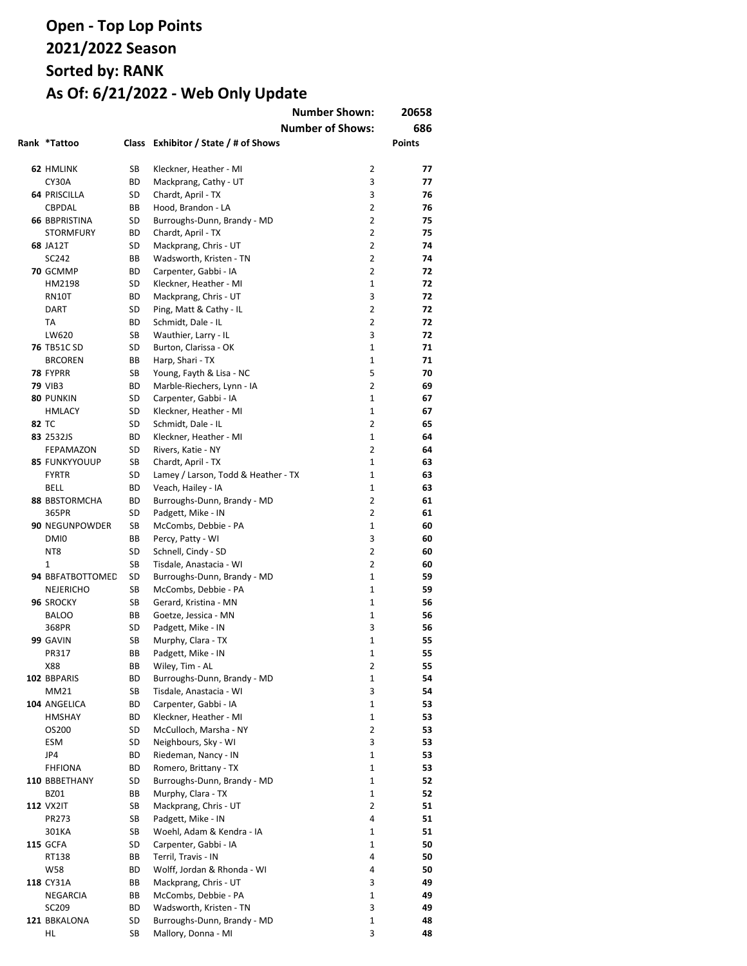|                      |    |                                          | <b>Number Shown:</b>    | 20658         |
|----------------------|----|------------------------------------------|-------------------------|---------------|
|                      |    |                                          | <b>Number of Shows:</b> | 686           |
| Rank *Tattoo         |    | Class Exhibitor / State / # of Shows     |                         | <b>Points</b> |
|                      |    |                                          |                         |               |
| 62 HMLINK            | SB | Kleckner, Heather - MI                   | 2                       | 77            |
| CY30A                | ВD | Mackprang, Cathy - UT                    | 3                       | 77            |
| <b>64 PRISCILLA</b>  | SD | Chardt, April - TX                       | 3                       | 76            |
| CBPDAL               | BВ | Hood, Brandon - LA                       | $\overline{2}$          | 76            |
| <b>66 BBPRISTINA</b> | SD | Burroughs-Dunn, Brandy - MD              | $\overline{2}$          | 75            |
| <b>STORMFURY</b>     | ВD | Chardt, April - TX                       | $\overline{2}$          | 75            |
| <b>68 JA12T</b>      | SD | Mackprang, Chris - UT                    | $\overline{2}$          | 74            |
| SC242                | BВ | Wadsworth, Kristen - TN                  | 2                       | 74            |
| 70 GCMMP             | ВD | Carpenter, Gabbi - IA                    | 2                       | 72            |
| HM2198               | SD | Kleckner, Heather - MI                   | $\mathbf{1}$            | 72            |
| <b>RN10T</b>         | ВD | Mackprang, Chris - UT                    | 3                       | 72            |
| <b>DART</b>          | SD | Ping, Matt & Cathy - IL                  | 2                       | 72            |
| TA                   | ВD | Schmidt, Dale - IL                       | 2                       | 72            |
| LW620                | SB | Wauthier, Larry - IL                     | 3                       | 72            |
| <b>76 TB51C SD</b>   | SD | Burton, Clarissa - OK                    | $\mathbf{1}$            | 71            |
| <b>BRCOREN</b>       | BВ | Harp, Shari - TX                         | 1                       | 71            |
| 78 FYPRR             | SB | Young, Fayth & Lisa - NC                 | 5                       | 70            |
| <b>79 VIB3</b>       | ВD | Marble-Riechers, Lynn - IA               | 2                       | 69            |
| 80 PUNKIN            | SD | Carpenter, Gabbi - IA                    | $\mathbf{1}$            | 67            |
| <b>HMLACY</b>        | SD | Kleckner, Heather - MI                   | $\mathbf{1}$            | 67            |
| 82 TC                | SD | Schmidt, Dale - IL                       | 2                       | 65            |
| 83 2532JS            | ВD | Kleckner, Heather - MI                   | $\mathbf{1}$            | 64            |
| <b>FEPAMAZON</b>     | SD | Rivers, Katie - NY                       | 2                       | 64            |
| <b>85 FUNKYYOUUP</b> | SB | Chardt, April - TX                       | $\mathbf{1}$            | 63            |
| <b>FYRTR</b>         | SD | Lamey / Larson, Todd & Heather - TX      | $\mathbf{1}$            | 63            |
| BELL                 | ВD | Veach, Hailey - IA                       | $\mathbf{1}$            | 63            |
| <b>88 BBSTORMCHA</b> | ВD | Burroughs-Dunn, Brandy - MD              | 2                       | 61            |
| 365PR                | SD | Padgett, Mike - IN                       | $\overline{2}$          | 61            |
| 90 NEGUNPOWDER       | SB | McCombs, Debbie - PA                     | $\mathbf{1}$            | 60            |
| DMI0                 | BВ | Percy, Patty - WI                        | 3                       | 60            |
| NT <sub>8</sub>      | SD | Schnell, Cindy - SD                      | 2                       | 60            |
| 1                    | SB | Tisdale, Anastacia - WI                  | $\overline{2}$          | 60            |
| 94 BBFATBOTTOMED     | SD | Burroughs-Dunn, Brandy - MD              | $\mathbf{1}$            | 59            |
| NEJERICHO            | SB | McCombs, Debbie - PA                     | $\mathbf{1}$            | 59            |
| 96 SROCKY            | SB | Gerard, Kristina - MN                    | $\mathbf{1}$            | 56            |
| <b>BALOO</b>         | BВ | Goetze, Jessica - MN                     | $\mathbf{1}$            | 56            |
| 368PR                | SD | Padgett, Mike - IN                       | 3                       | 56            |
| 99 GAVIN             | SB |                                          | $\mathbf{1}$            | 55            |
| PR317                | ВB | Murphy, Clara - TX<br>Padgett, Mike - IN | 1                       | 55            |
|                      |    | Wiley, Tim - AL                          |                         |               |
| X88                  | ВB | Burroughs-Dunn, Brandy - MD              | 2<br>1                  | 55            |
| 102 BBPARIS<br>MM21  | ВD |                                          | 3                       | 54            |
|                      | SB | Tisdale, Anastacia - WI                  |                         | 54            |
| 104 ANGELICA         | ВD | Carpenter, Gabbi - IA                    | 1                       | 53            |
| <b>HMSHAY</b>        | ВD | Kleckner, Heather - MI                   | 1                       | 53            |
| OS200                | SD | McCulloch, Marsha - NY                   | $\overline{2}$          | 53            |
| ESM                  | SD | Neighbours, Sky - WI                     | 3                       | 53            |
| JP4                  | ВD | Riedeman, Nancy - IN                     | 1                       | 53            |
| FHFIONA              | ВD | Romero, Brittany - TX                    | 1                       | 53            |
| 110 BBBETHANY        | SD | Burroughs-Dunn, Brandy - MD              | $\mathbf{1}$            | 52            |
| BZ01                 | ВB | Murphy, Clara - TX                       | 1                       | 52            |
| <b>112 VX2IT</b>     | SB | Mackprang, Chris - UT                    | 2                       | 51            |
| PR273                | SB | Padgett, Mike - IN                       | 4                       | 51            |
| 301KA                | SB | Woehl, Adam & Kendra - IA                | 1                       | 51            |
| <b>115 GCFA</b>      | SD | Carpenter, Gabbi - IA                    | 1                       | 50            |
| RT138                | ВB | Terril, Travis - IN                      | 4                       | 50            |
| W58                  | ВD | Wolff, Jordan & Rhonda - WI              | 4                       | 50            |
| 118 CY31A            | ВB | Mackprang, Chris - UT                    | 3                       | 49            |
| NEGARCIA             | ВB | McCombs, Debbie - PA                     | 1                       | 49            |
| SC209                | ВD | Wadsworth, Kristen - TN                  | 3                       | 49            |
| 121 BBKALONA         | SD | Burroughs-Dunn, Brandy - MD              | 1                       | 48            |
| HL                   | SB | Mallory, Donna - MI                      | 3                       | 48            |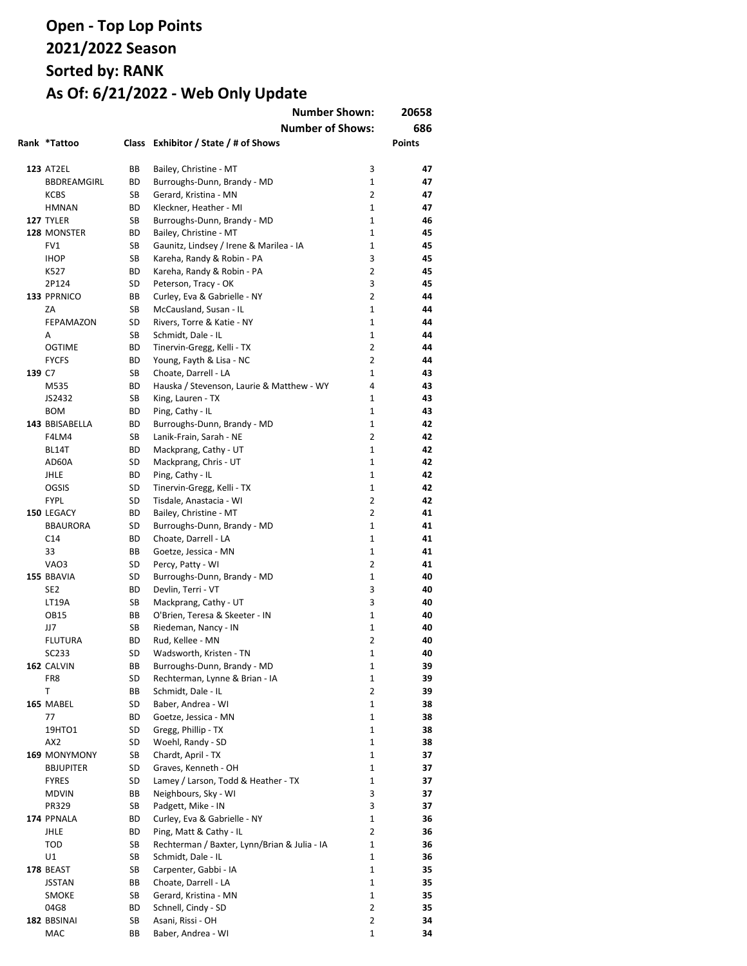|        |                    |           | <b>Number Shown:</b><br><b>Number of Shows:</b> |                                  | 20658<br>686  |
|--------|--------------------|-----------|-------------------------------------------------|----------------------------------|---------------|
|        | Rank *Tattoo       |           | Class Exhibitor / State / # of Shows            |                                  | <b>Points</b> |
|        | <b>123 AT2EL</b>   | BВ        | Bailey, Christine - MT                          | 3                                | 47            |
|        | BBDREAMGIRL        | BD        | Burroughs-Dunn, Brandy - MD                     | $\mathbf{1}$                     | 47            |
|        | <b>KCBS</b>        | <b>SB</b> | Gerard, Kristina - MN                           | $\overline{2}$                   | 47            |
|        | <b>HMNAN</b>       | BD        | Kleckner, Heather - MI                          | $\mathbf{1}$                     | 47            |
|        | 127 TYLER          | SB        | Burroughs-Dunn, Brandy - MD                     | $\mathbf{1}$                     | 46            |
|        | 128 MONSTER        | ВD        | Bailey, Christine - MT                          | $\mathbf{1}$                     | 45            |
|        | FV1                | SB        | Gaunitz, Lindsey / Irene & Marilea - IA         | $\mathbf{1}$                     | 45            |
|        | <b>IHOP</b>        | SB        | Kareha, Randy & Robin - PA                      | 3                                | 45            |
|        | K527               | BD.       | Kareha, Randy & Robin - PA                      | 2                                | 45            |
|        | 2P124              | SD        | Peterson, Tracy - OK                            | 3                                | 45            |
|        | 133 PPRNICO        | BB        | Curley, Eva & Gabrielle - NY                    | $\overline{2}$                   | 44            |
|        | ZA                 | SB        | McCausland, Susan - IL                          | $\mathbf{1}$                     | 44            |
|        | FEPAMAZON          | SD        | Rivers, Torre & Katie - NY                      | $\mathbf{1}$                     | 44            |
|        | A                  | SB        | Schmidt, Dale - IL                              | $\mathbf{1}$                     | 44            |
|        | <b>OGTIME</b>      | BD        | Tinervin-Gregg, Kelli - TX                      | 2                                | 44            |
|        | <b>FYCFS</b>       | ВD        | Young, Fayth & Lisa - NC                        | $\overline{2}$                   | 44            |
| 139 C7 |                    | SB        | Choate, Darrell - LA                            | 1                                | 43            |
|        | M535               | BD        | Hauska / Stevenson, Laurie & Matthew - WY       | 4                                | 43            |
|        | JS2432             | SB        | King, Lauren - TX                               | $\mathbf{1}$                     | 43            |
|        | <b>BOM</b>         | BD        | Ping, Cathy - IL                                | 1                                | 43            |
|        | 143 BBISABELLA     | BD        | Burroughs-Dunn, Brandy - MD                     | $\mathbf{1}$                     | 42            |
|        | F4LM4              | SB        | Lanik-Frain, Sarah - NE                         | $\overline{2}$                   | 42            |
|        | BL14T              | BD        | Mackprang, Cathy - UT                           | $\mathbf{1}$                     | 42            |
|        | AD60A              | SD        | Mackprang, Chris - UT                           | $\mathbf{1}$                     | 42            |
|        | JHLE               | BD        | Ping, Cathy - IL                                | $\mathbf{1}$                     | 42            |
|        | OGSIS              | SD        | Tinervin-Gregg, Kelli - TX                      | $\mathbf{1}$                     | 42            |
|        | <b>FYPL</b>        | SD        | Tisdale, Anastacia - WI                         | $\overline{2}$                   | 42            |
|        | 150 LEGACY         | ВD        | Bailey, Christine - MT                          | $\overline{2}$                   | 41            |
|        | <b>BBAURORA</b>    | SD        | Burroughs-Dunn, Brandy - MD                     | $\mathbf{1}$                     | 41            |
|        | C <sub>14</sub>    | BD        | Choate, Darrell - LA                            | $\mathbf{1}$                     | 41            |
|        | 33                 | BB        | Goetze, Jessica - MN                            | $\mathbf{1}$                     | 41            |
|        | VAO3               | SD        | Percy, Patty - WI                               | $\overline{2}$                   | 41            |
|        | 155 BBAVIA         | SD        | Burroughs-Dunn, Brandy - MD                     | $\mathbf{1}$                     | 40            |
|        | SE <sub>2</sub>    | BD        | Devlin, Terri - VT                              | 3                                | 40            |
|        | <b>LT19A</b>       | SB        | Mackprang, Cathy - UT                           | 3                                | 40            |
|        | <b>OB15</b>        | BB        | O'Brien, Teresa & Skeeter - IN                  | $\mathbf{1}$                     | 40            |
|        | JJ7                | SB        | Riedeman, Nancy - IN                            | 1                                | 40            |
|        | <b>FLUTURA</b>     | BD        | Rud, Kellee - MN                                | $\overline{2}$                   | 40            |
|        | SC233              | SD        | Wadsworth, Kristen - TN                         | 1                                | 40            |
|        | 162 CALVIN         | ВB        | Burroughs-Dunn, Brandy - MD                     | 1                                | 39            |
|        | FR8                | SD        | Rechterman, Lynne & Brian - IA                  | 1                                | 39            |
|        | Τ                  | ВB        | Schmidt, Dale - IL                              | $\overline{2}$                   | 39            |
|        | 165 MABEL          | SD        | Baber, Andrea - WI                              | 1                                | 38            |
|        | 77                 | BD        | Goetze, Jessica - MN                            | 1                                | 38            |
|        | 19HTO1             | SD        | Gregg, Phillip - TX                             | 1                                | 38            |
|        | AX <sub>2</sub>    | SD        | Woehl, Randy - SD                               | 1                                | 38            |
|        | 169 MONYMONY       | SB        | Chardt, April - TX                              | 1                                | 37            |
|        | <b>BBJUPITER</b>   | SD        | Graves, Kenneth - OH                            | 1                                | 37            |
|        | <b>FYRES</b>       | SD        | Lamey / Larson, Todd & Heather - TX             | $\mathbf{1}$                     | 37            |
|        | <b>MDVIN</b>       | ВB        | Neighbours, Sky - WI                            | 3                                | 37            |
|        | PR329              | SB        | Padgett, Mike - IN                              | 3                                | 37            |
|        | 174 PPNALA         | ВD        | Curley, Eva & Gabrielle - NY                    | 1                                | 36            |
|        | <b>JHLE</b>        | ВD        | Ping, Matt & Cathy - IL                         | 2                                | 36            |
|        |                    |           | Rechterman / Baxter, Lynn/Brian & Julia - IA    | 1                                | 36            |
|        | TOD                | SB        | Schmidt, Dale - IL                              | 1                                |               |
|        | U1                 | SB        |                                                 | 1                                | 36            |
|        | 178 BEAST          | SB        | Carpenter, Gabbi - IA                           |                                  | 35            |
|        | <b>JSSTAN</b>      | ВB        | Choate, Darrell - LA                            | $\mathbf{1}$<br>1                | 35            |
|        | SMOKE              | SB        | Gerard, Kristina - MN                           |                                  | 35            |
|        | 04G8               | ВD        | Schnell, Cindy - SD                             | $\overline{2}$<br>$\overline{2}$ | 35            |
|        | 182 BBSINAI<br>MAC | SB        | Asani, Rissi - OH                               |                                  | 34            |
|        |                    | ВB        | Baber, Andrea - WI                              | 1                                | 34            |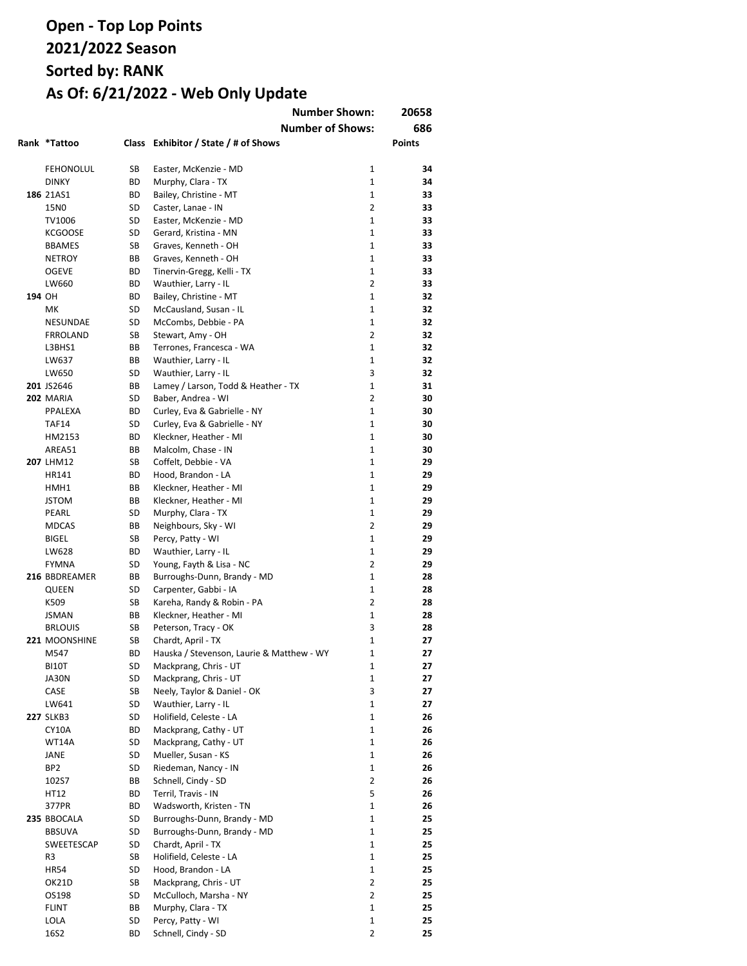|        |                  |           |                                                | <b>Number Shown:</b> | 20658         |
|--------|------------------|-----------|------------------------------------------------|----------------------|---------------|
|        |                  |           | <b>Number of Shows:</b>                        |                      | 686           |
|        | Rank *Tattoo     |           | Class Exhibitor / State / # of Shows           |                      | <b>Points</b> |
|        |                  |           |                                                |                      |               |
|        | <b>FEHONOLUL</b> | SB        | Easter, McKenzie - MD                          | $\mathbf{1}$         | 34            |
|        | <b>DINKY</b>     | ВD        | Murphy, Clara - TX                             | $\mathbf{1}$         | 34            |
|        | 186 21AS1        | <b>BD</b> | Bailey, Christine - MT                         | $\mathbf{1}$         | 33            |
|        | 15N0             | SD        | Caster, Lanae - IN                             | $\overline{2}$       | 33            |
|        | TV1006           | SD        | Easter, McKenzie - MD                          | $\mathbf{1}$         | 33            |
|        | <b>KCGOOSE</b>   | SD        | Gerard, Kristina - MN                          | $\mathbf{1}$         | 33            |
|        | <b>BBAMES</b>    | SB        | Graves, Kenneth - OH                           | $\mathbf{1}$         | 33            |
|        | <b>NETROY</b>    | BВ        | Graves, Kenneth - OH                           | $\mathbf{1}$         | 33            |
|        | <b>OGEVE</b>     | ВD        | Tinervin-Gregg, Kelli - TX                     | $\mathbf{1}$         | 33            |
|        | LW660            | ВD        | Wauthier, Larry - IL                           | $\overline{2}$       | 33            |
| 194 OH |                  | ВD        | Bailey, Christine - MT                         | $\mathbf{1}$         | 32            |
|        | MK               | SD        | McCausland, Susan - IL                         | $\mathbf{1}$         | 32            |
|        | NESUNDAE         | SD        | McCombs, Debbie - PA                           | $\mathbf 1$          | 32            |
|        | <b>FRROLAND</b>  | SB        | Stewart, Amy - OH                              | $\overline{2}$       | 32            |
|        | L3BHS1           | BВ        | Terrones, Francesca - WA                       | $\mathbf{1}$         | 32            |
|        | LW637            | BВ        | Wauthier, Larry - IL                           | 1                    | 32            |
|        | LW650            | SD        | Wauthier, Larry - IL                           | 3                    | 32            |
|        | 201 JS2646       | BВ        | Lamey / Larson, Todd & Heather - TX            | $\mathbf{1}$         | 31            |
|        | <b>202 MARIA</b> | SD        | Baber, Andrea - WI                             | $\overline{2}$       | 30            |
|        | PPALEXA          | ВD        | Curley, Eva & Gabrielle - NY                   | $\mathbf{1}$         | 30            |
|        | <b>TAF14</b>     | SD        | Curley, Eva & Gabrielle - NY                   | $\mathbf{1}$         | 30            |
|        | HM2153           | ВD        | Kleckner, Heather - MI                         | $\mathbf{1}$         | 30            |
|        | AREA51           | BВ        | Malcolm, Chase - IN                            | $\mathbf{1}$         | 30            |
|        | 207 LHM12        | SB        | Coffelt, Debbie - VA                           | $\mathbf{1}$         | 29            |
|        | HR141            | ВD        | Hood, Brandon - LA                             | $\mathbf{1}$         | 29            |
|        | HMH1             | BВ        | Kleckner, Heather - MI                         | $\mathbf{1}$         | 29            |
|        | <b>JSTOM</b>     | BВ        | Kleckner, Heather - MI                         | $\mathbf{1}$         | 29            |
|        | PEARL            | SD        | Murphy, Clara - TX                             | $\mathbf{1}$         | 29            |
|        | <b>MDCAS</b>     | BВ        | Neighbours, Sky - WI                           | $\overline{2}$       | 29            |
|        | <b>BIGEL</b>     | SB        | Percy, Patty - WI                              | $\mathbf{1}$         | 29            |
|        | LW628            | ВD        | Wauthier, Larry - IL                           | $\mathbf{1}$         | 29            |
|        | <b>FYMNA</b>     | SD        | Young, Fayth & Lisa - NC                       | $\overline{2}$       | 29            |
|        | 216 BBDREAMER    | ВB        | Burroughs-Dunn, Brandy - MD                    | $\mathbf{1}$         | 28            |
|        | QUEEN            | SD        | Carpenter, Gabbi - IA                          | $\mathbf{1}$         | 28            |
|        | K509             | SB        | Kareha, Randy & Robin - PA                     | $\overline{2}$       | 28            |
|        | <b>JSMAN</b>     | BВ        | Kleckner, Heather - MI                         | $\mathbf{1}$         | 28            |
|        | <b>BRLOUIS</b>   | SB        | Peterson, Tracy - OK                           | 3                    | 28            |
|        | 221 MOONSHINE    | SB        | Chardt, April - TX                             | $\mathbf{1}$         | 27            |
|        | M547             | ВD        | Hauska / Stevenson, Laurie & Matthew - WY      | 1                    | 27            |
|        |                  |           |                                                | 1                    |               |
|        | BI10T<br>JA30N   | SD<br>SD  | Mackprang, Chris - UT<br>Mackprang, Chris - UT | $\mathbf{1}$         | 27<br>27      |
|        | CASE             | SB        | Neely, Taylor & Daniel - OK                    | 3                    | 27            |
|        |                  |           |                                                | $\mathbf{1}$         |               |
|        | LW641            | SD        | Wauthier, Larry - IL                           |                      | 27            |
|        | <b>227 SLKB3</b> | SD        | Holifield, Celeste - LA                        | $\mathbf{1}$         | 26            |
|        | CY10A            | BD        | Mackprang, Cathy - UT                          | $\mathbf{1}$         | 26            |
|        | WT14A            | SD        | Mackprang, Cathy - UT                          | $\mathbf{1}$         | 26            |
|        | JANE             | SD        | Mueller, Susan - KS                            | $\mathbf 1$          | 26            |
|        | BP2              | SD        | Riedeman, Nancy - IN                           | $\mathbf 1$          | 26            |
|        | 102S7            | ВB        | Schnell, Cindy - SD                            | $\overline{2}$       | 26            |
|        | HT12             | ВD        | Terril, Travis - IN                            | 5                    | 26            |
|        | 377PR            | ВD        | Wadsworth, Kristen - TN                        | $\mathbf{1}$         | 26            |
|        | 235 BBOCALA      | SD        | Burroughs-Dunn, Brandy - MD                    | $\mathbf{1}$         | 25            |
|        | <b>BBSUVA</b>    | SD        | Burroughs-Dunn, Brandy - MD                    | $\mathbf{1}$         | 25            |
|        | SWEETESCAP       | SD        | Chardt, April - TX                             | $\mathbf{1}$         | 25            |
|        | R3               | SB        | Holifield, Celeste - LA                        | $\mathbf{1}$         | 25            |
|        | <b>HR54</b>      | SD        | Hood, Brandon - LA                             | $\mathbf{1}$         | 25            |
|        | OK21D            | SB        | Mackprang, Chris - UT                          | $\overline{2}$       | 25            |
|        | OS198            | SD        | McCulloch, Marsha - NY                         | $\overline{2}$       | 25            |
|        | FLINT            | ВB        | Murphy, Clara - TX                             | $\mathbf{1}$         | 25            |
|        | LOLA             | SD        | Percy, Patty - WI                              | $\mathbf{1}$         | 25            |
|        | 16S2             | BD        | Schnell, Cindy - SD                            | $\overline{2}$       | 25            |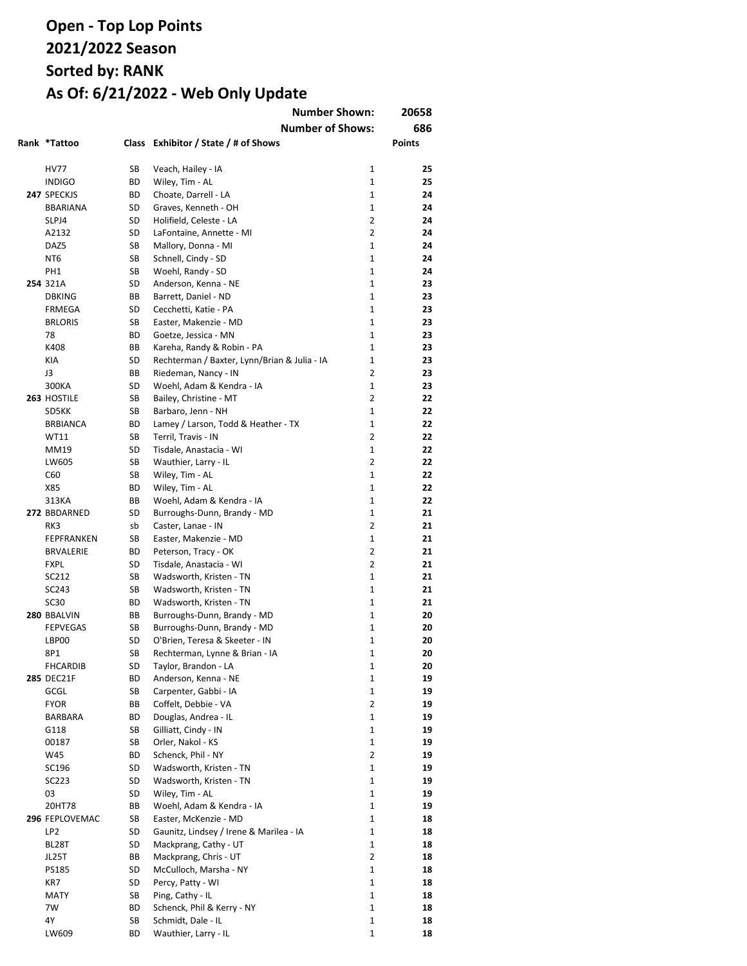| Rank *Tattoo                   |          | <b>Number Shown:</b><br><b>Number of Shows:</b><br>Class Exhibitor / State / # of Shows |                   | 20658<br>686<br>Points |
|--------------------------------|----------|-----------------------------------------------------------------------------------------|-------------------|------------------------|
|                                |          |                                                                                         |                   |                        |
| <b>HV77</b>                    | SВ       | Veach, Hailey - IA                                                                      | 1                 | 25                     |
| <b>INDIGO</b>                  | ВD       | Wiley, Tim - AL                                                                         | $\mathbf{1}$      | 25                     |
| 247 SPECKJS                    | ВD       | Choate, Darrell - LA                                                                    | $\mathbf{1}$      | 24                     |
| <b>BBARIANA</b>                | SD       | Graves, Kenneth - OH                                                                    | $\mathbf{1}$      | 24                     |
| SLPJ4                          | SD       | Holifield, Celeste - LA                                                                 | $\overline{2}$    | 24                     |
| A2132                          | SD       | LaFontaine, Annette - MI                                                                | $\overline{2}$    | 24                     |
| DAZ5                           | SB       | Mallory, Donna - MI                                                                     | 1                 | 24                     |
| NT6                            | SB       | Schnell, Cindy - SD                                                                     | 1                 | 24                     |
| PH1<br>254 321A                | SB<br>SD | Woehl, Randy - SD<br>Anderson, Kenna - NE                                               | $\mathbf{1}$<br>1 | 24<br>23               |
| <b>DBKING</b>                  | ВB       | Barrett, Daniel - ND                                                                    | 1                 | 23                     |
| FRMEGA                         | SD       | Cecchetti, Katie - PA                                                                   | 1                 | 23                     |
| <b>BRLORIS</b>                 | SB       | Easter, Makenzie - MD                                                                   | 1                 | 23                     |
| 78                             | ВD       | Goetze, Jessica - MN                                                                    | $\mathbf{1}$      | 23                     |
| K408                           | ВB       | Kareha, Randy & Robin - PA                                                              | 1                 | 23                     |
| KIA                            | SD       | Rechterman / Baxter, Lynn/Brian & Julia - IA                                            | $\mathbf{1}$      | 23                     |
| J3                             | ВB       | Riedeman, Nancy - IN                                                                    | $\overline{2}$    | 23                     |
| 300KA                          | SD       | Woehl, Adam & Kendra - IA                                                               | $\mathbf{1}$      | 23                     |
| 263 HOSTILE                    | SB       | Bailey, Christine - MT                                                                  | 2                 | 22                     |
| SD5KK                          | SB       | Barbaro, Jenn - NH                                                                      | $\mathbf{1}$      | 22                     |
| <b>BRBIANCA</b>                | ВD       | Lamey / Larson, Todd & Heather - TX                                                     | $\mathbf{1}$      | 22                     |
| WT11                           | SB       | Terril, Travis - IN                                                                     | $\overline{2}$    | 22                     |
| MM19                           | SD       | Tisdale, Anastacia - WI                                                                 | $\mathbf{1}$      | 22                     |
| LW605                          | SB       | Wauthier, Larry - IL                                                                    | $\overline{2}$    | 22                     |
| C60                            | SB       | Wiley, Tim - AL                                                                         | $\mathbf{1}$      | 22                     |
| X85                            | ВD       | Wiley, Tim - AL                                                                         | $\mathbf{1}$      | 22                     |
| 313KA                          | ВB       | Woehl, Adam & Kendra - IA                                                               | 1                 | 22                     |
| 272 BBDARNED                   | SD       | Burroughs-Dunn, Brandy - MD                                                             | $\mathbf{1}$      | 21                     |
| RK3                            | sb       | Caster, Lanae - IN                                                                      | $\overline{2}$    | 21                     |
| FEPFRANKEN                     | SB       | Easter, Makenzie - MD                                                                   | $\mathbf{1}$      | 21                     |
| <b>BRVALERIE</b>               | ВD       | Peterson, Tracy - OK                                                                    | $\overline{2}$    | 21                     |
| <b>FXPL</b>                    | SD       | Tisdale, Anastacia - WI                                                                 | $\overline{2}$    | 21                     |
| SC212                          | SB       | Wadsworth, Kristen - TN                                                                 | 1                 | 21                     |
| SC243                          | SB       | Wadsworth, Kristen - TN                                                                 | 1                 | 21                     |
| <b>SC30</b>                    | ВD       | Wadsworth, Kristen - TN                                                                 | 1                 | 21                     |
| 280 BBALVIN<br><b>FEPVEGAS</b> | ВB<br>SB | Burroughs-Dunn, Brandy - MD<br>Burroughs-Dunn, Brandy - MD                              | 1<br>1            | 20<br>20               |
| LBP00                          | SD       | O'Brien, Teresa & Skeeter - IN                                                          | 1                 | 20                     |
| 8P1                            | SB       | Rechterman, Lynne & Brian - IA                                                          | 1                 | 20                     |
| <b>FHCARDIB</b>                | SD       | Taylor, Brandon - LA                                                                    | 1                 | 20                     |
| <b>285 DEC21F</b>              | ВD       | Anderson, Kenna - NE                                                                    | 1                 | 19                     |
| GCGL                           | SB       | Carpenter, Gabbi - IA                                                                   | 1                 | 19                     |
| <b>FYOR</b>                    | ВB       | Coffelt, Debbie - VA                                                                    | $\overline{2}$    | 19                     |
| BARBARA                        | ВD       | Douglas, Andrea - IL                                                                    | 1                 | 19                     |
| G118                           | SB       | Gilliatt, Cindy - IN                                                                    | $\mathbf{1}$      | 19                     |
| 00187                          | SB       | Orler, Nakol - KS                                                                       | 1                 | 19                     |
| W45                            | ВD       | Schenck, Phil - NY                                                                      | $\overline{2}$    | 19                     |
| SC196                          | SD       | Wadsworth, Kristen - TN                                                                 | 1                 | 19                     |
| SC223                          | SD       | Wadsworth, Kristen - TN                                                                 | $\mathbf{1}$      | 19                     |
| 03                             | SD       | Wiley, Tim - AL                                                                         | 1                 | 19                     |
| 20HT78                         | ВB       | Woehl, Adam & Kendra - IA                                                               | 1                 | 19                     |
| 296 FEPLOVEMAC                 | SB       | Easter, McKenzie - MD                                                                   | 1                 | 18                     |
| LP <sub>2</sub>                | SD       | Gaunitz, Lindsey / Irene & Marilea - IA                                                 | 1                 | 18                     |
| BL28T                          | SD       | Mackprang, Cathy - UT                                                                   | 1                 | 18                     |
| JL25T                          | ВB       | Mackprang, Chris - UT                                                                   | $\overline{2}$    | 18                     |
| PS185                          | SD       | McCulloch, Marsha - NY                                                                  | $\mathbf{1}$      | 18                     |
| KR7                            | SD       | Percy, Patty - WI                                                                       | $\mathbf{1}$      | 18                     |
| MATY                           | SB       | Ping, Cathy - IL                                                                        | 1                 | 18                     |
| 7W                             | ВD       | Schenck, Phil & Kerry - NY                                                              | 1                 | 18                     |
| 4Ү                             | SB       | Schmidt, Dale - IL                                                                      | 1                 | 18                     |
| LW609                          | ВD       | Wauthier, Larry - IL                                                                    | 1                 | 18                     |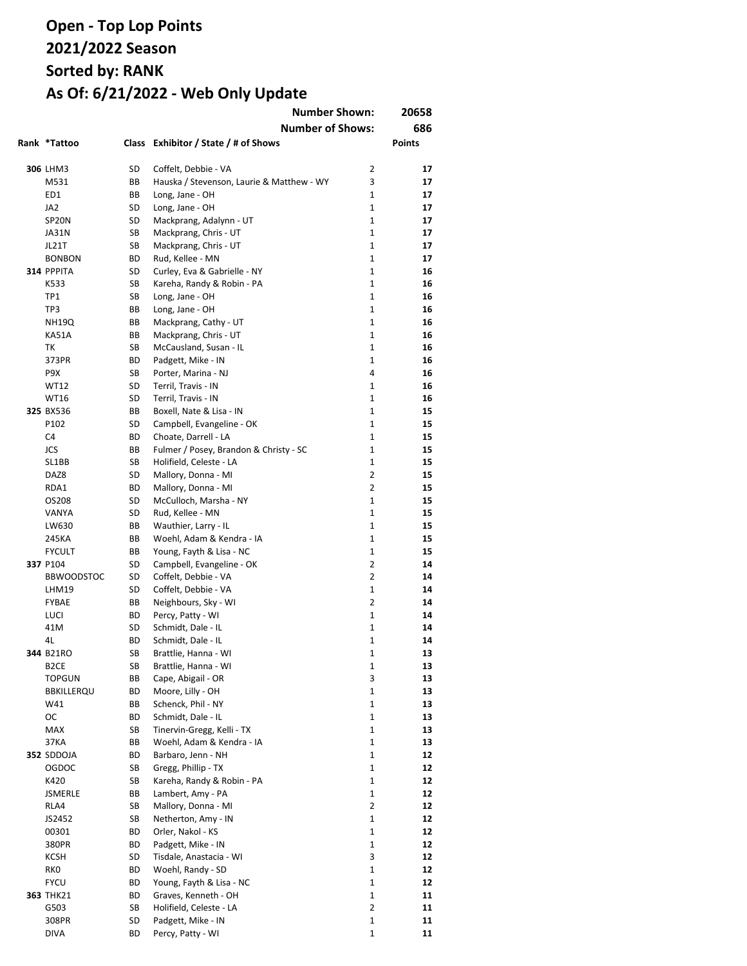|                           |          | <b>Number Shown:</b><br><b>Number of Shows:</b>       |                              | 20658<br>686  |
|---------------------------|----------|-------------------------------------------------------|------------------------------|---------------|
| Rank *Tattoo              |          | Class Exhibitor / State / # of Shows                  |                              | <b>Points</b> |
| <b>306 LHM3</b>           | SD       | Coffelt, Debbie - VA                                  | 2                            | 17            |
| M531                      | ВB       | Hauska / Stevenson, Laurie & Matthew - WY             | 3                            | 17            |
| ED1                       | ВB       | Long, Jane - OH                                       | $\mathbf{1}$                 | 17            |
| JA2                       | SD       | Long, Jane - OH                                       | $\mathbf{1}$                 | 17            |
| SP <sub>20N</sub>         | SD       | Mackprang, Adalynn - UT                               | $\mathbf{1}$                 | 17            |
| JA31N                     | SB       | Mackprang, Chris - UT                                 | $\mathbf{1}$                 | 17            |
| JL21T                     | SB       | Mackprang, Chris - UT                                 | $\mathbf{1}$                 | 17            |
| <b>BONBON</b>             | ВD       | Rud, Kellee - MN                                      | $\mathbf{1}$                 | 17            |
| 314 PPPITA                | SD       | Curley, Eva & Gabrielle - NY                          | $\mathbf{1}$                 | 16            |
| K533                      | SB       | Kareha, Randy & Robin - PA                            | $\mathbf{1}$                 | 16            |
| TP1                       | SB       | Long, Jane - OH                                       | $\mathbf{1}$                 | 16            |
| TP3                       | BВ       | Long, Jane - OH                                       | $\mathbf{1}$                 | 16            |
| <b>NH19Q</b>              | BВ       | Mackprang, Cathy - UT                                 | 1                            | 16            |
| <b>KA51A</b>              | ВB       | Mackprang, Chris - UT                                 | $\mathbf{1}$                 | 16            |
| ТK                        | SB       | McCausland, Susan - IL                                | $\mathbf{1}$                 | 16            |
| 373PR                     | ВD       | Padgett, Mike - IN                                    | $\mathbf{1}$                 | 16            |
| P9X                       | SB       | Porter, Marina - NJ                                   | 4                            | 16            |
| <b>WT12</b>               | SD       | Terril, Travis - IN                                   | $\mathbf{1}$                 | 16            |
| <b>WT16</b>               | SD       | Terril, Travis - IN                                   | $\mathbf{1}$                 | 16            |
| 325 BX536                 | BB       | Boxell, Nate & Lisa - IN                              | 1                            | 15            |
| P102                      | SD       | Campbell, Evangeline - OK                             | 1                            | 15            |
| C <sub>4</sub>            | BD       | Choate, Darrell - LA                                  | 1                            | 15            |
| JCS                       | ВB       | Fulmer / Posey, Brandon & Christy - SC                | 1                            | 15            |
| SL1BB                     | SB       | Holifield, Celeste - LA                               | 1                            | 15            |
| DAZ8                      | SD       | Mallory, Donna - MI                                   | 2                            | 15            |
| RDA1                      | BD       | Mallory, Donna - MI                                   | $\overline{2}$               | 15            |
| OS208                     | SD       | McCulloch, Marsha - NY                                | $\mathbf{1}$                 | 15            |
| VANYA                     | SD       | Rud, Kellee - MN                                      | $\mathbf{1}$                 | 15            |
| LW630                     | ВB       | Wauthier, Larry - IL                                  | $\mathbf{1}$<br>$\mathbf{1}$ | 15            |
| 245KA                     | ВB       | Woehl, Adam & Kendra - IA                             | 1                            | 15            |
| <b>FYCULT</b><br>337 P104 | BВ<br>SD | Young, Fayth & Lisa - NC<br>Campbell, Evangeline - OK | $\overline{2}$               | 15<br>14      |
| <b>BBWOODSTOC</b>         | SD       | Coffelt, Debbie - VA                                  | $\overline{2}$               | 14            |
| LHM19                     | SD       | Coffelt, Debbie - VA                                  | $\mathbf{1}$                 | 14            |
| <b>FYBAE</b>              | ВB       | Neighbours, Sky - WI                                  | $\overline{2}$               | 14            |
| LUCI                      | BD       | Percy, Patty - WI                                     | $\mathbf{1}$                 | 14            |
| 41M                       | SD       | Schmidt, Dale - IL                                    | 1                            | 14            |
| 4L                        | BD       | Schmidt, Dale - IL                                    | $\mathbf 1$                  | 14            |
| 344 B21RO                 | SB       | Brattlie, Hanna - WI                                  | 1                            | 13            |
| B <sub>2</sub> CE         | SB       | Brattlie, Hanna - WI                                  | 1                            | 13            |
| TOPGUN                    | ВB       | Cape, Abigail - OR                                    | 3                            | 13            |
| <b>BBKILLERQU</b>         | ВD       | Moore, Lilly - OH                                     | 1                            | 13            |
| W41                       | ВB       | Schenck, Phil - NY                                    | 1                            | 13            |
| ОC                        | BD       | Schmidt, Dale - IL                                    | 1                            | 13            |
| <b>MAX</b>                | SB       | Tinervin-Gregg, Kelli - TX                            | 1                            | 13            |
| 37KA                      | ВB       | Woehl, Adam & Kendra - IA                             | $\mathbf{1}$                 | 13            |
| 352 SDDOJA                | ВD       | Barbaro, Jenn - NH                                    | 1                            | 12            |
| OGDOC                     | SB       | Gregg, Phillip - TX                                   | 1                            | 12            |
| K420                      | SB       | Kareha, Randy & Robin - PA                            | $\mathbf{1}$                 | 12            |
| JSMERLE                   | ВB       | Lambert, Amy - PA                                     | 1                            | 12            |
| RLA4                      | SB       | Mallory, Donna - MI                                   | $\overline{2}$               | 12            |
| JS2452                    | SB       | Netherton, Amy - IN                                   | 1                            | 12            |
| 00301                     | BD       | Orler, Nakol - KS                                     | $\mathbf{1}$                 | 12            |
| 380PR                     | ВD       | Padgett, Mike - IN                                    | 1                            | 12            |
| KCSH                      | SD       | Tisdale, Anastacia - WI                               | 3                            | 12            |
| <b>RKO</b>                | ВD       | Woehl, Randy - SD                                     | 1                            | 12            |
| <b>FYCU</b>               | BD       | Young, Fayth & Lisa - NC                              | $\mathbf{1}$                 | 12            |
| <b>363 THK21</b>          | ВD       | Graves, Kenneth - OH                                  | 1                            | 11            |
| G503                      | SB       | Holifield, Celeste - LA                               | 2                            | 11            |
| 308PR                     | SD       | Padgett, Mike - IN                                    | 1                            | 11            |
| <b>DIVA</b>               | BD       | Percy, Patty - WI                                     | $\mathbf 1$                  | 11            |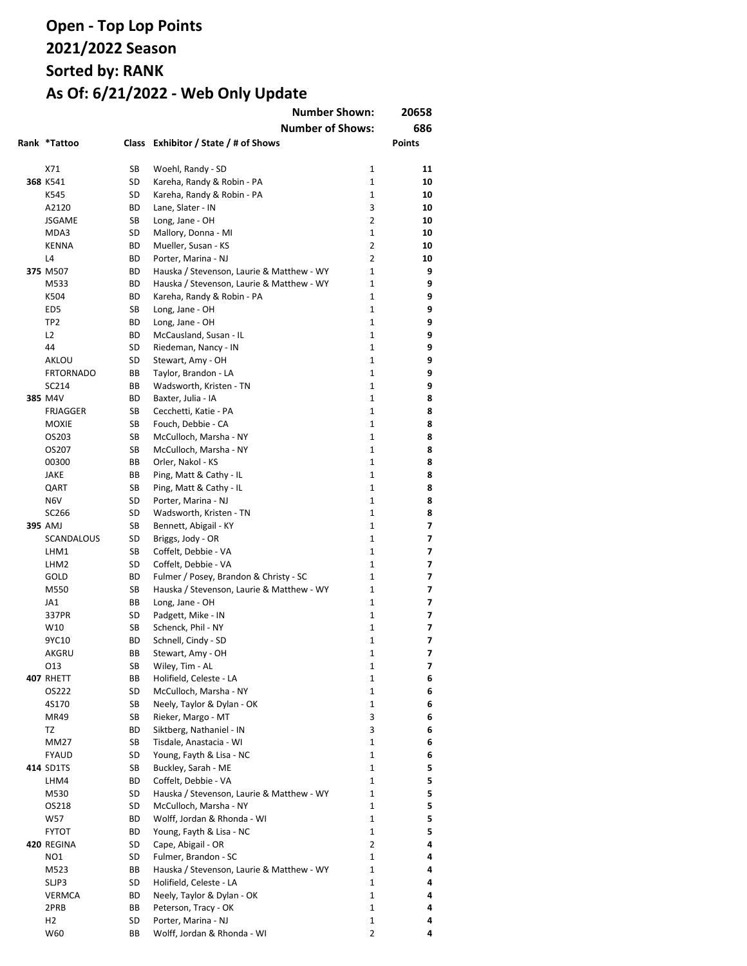|                       |          | <b>Number Shown:</b>                               |                | 20658  |
|-----------------------|----------|----------------------------------------------------|----------------|--------|
|                       |          | <b>Number of Shows:</b>                            |                | 686    |
| Rank *Tattoo          | Class    | Exhibitor / State / # of Shows                     |                | Points |
|                       |          |                                                    |                |        |
| X71                   | SB       | Woehl, Randy - SD                                  | $\mathbf{1}$   | 11     |
| 368 K541              | SD       | Kareha, Randy & Robin - PA                         | 1              | 10     |
| K545                  | SD       | Kareha, Randy & Robin - PA                         | 1              | 10     |
| A2120                 | ВD       | Lane, Slater - IN                                  | 3              | 10     |
| <b>JSGAME</b>         | SB       | Long, Jane - OH                                    | $\overline{2}$ | 10     |
| MDA3                  | SD       | Mallory, Donna - MI                                | 1              | 10     |
| <b>KENNA</b>          | ВD       | Mueller, Susan - KS                                | 2              | 10     |
| L <sub>4</sub>        | ВD       | Porter, Marina - NJ                                | 2              | 10     |
| 375 M507              | BD       | Hauska / Stevenson, Laurie & Matthew - WY          | 1              | 9      |
| M533                  | BD       | Hauska / Stevenson, Laurie & Matthew - WY          | 1              | 9      |
| K504                  | BD       | Kareha, Randy & Robin - PA                         | 1              | 9      |
| ED <sub>5</sub>       | SB       | Long, Jane - OH                                    | 1<br>1         | 9<br>9 |
| TP <sub>2</sub>       | BD       | Long, Jane - OH                                    |                | 9      |
| L <sub>2</sub><br>44  | ВD<br>SD | McCausland, Susan - IL<br>Riedeman, Nancy - IN     | 1<br>1         | 9      |
| AKLOU                 | SD       | Stewart, Amy - OH                                  | $\mathbf{1}$   | 9      |
| <b>FRTORNADO</b>      | ВB       | Taylor, Brandon - LA                               | 1              | 9      |
| SC214                 | BB       | Wadsworth, Kristen - TN                            | 1              | 9      |
| 385 M4V               | ВD       | Baxter, Julia - IA                                 | 1              | 8      |
| <b>FRJAGGER</b>       | SB       | Cecchetti, Katie - PA                              | $\mathbf{1}$   | 8      |
| <b>MOXIE</b>          | SB       | Fouch, Debbie - CA                                 | 1              | 8      |
| OS203                 | SB       | McCulloch, Marsha - NY                             | $\mathbf{1}$   | 8      |
| OS207                 | SB       | McCulloch, Marsha - NY                             | $\mathbf{1}$   | 8      |
| 00300                 | BB       | Orler, Nakol - KS                                  | $\mathbf{1}$   | 8      |
| <b>JAKE</b>           | ВB       | Ping, Matt & Cathy - IL                            | $\mathbf{1}$   | 8      |
| QART                  | SB       | Ping, Matt & Cathy - IL                            | 1              | 8      |
| N <sub>6</sub> V      | SD       | Porter, Marina - NJ                                | 1              | 8      |
| SC266                 | SD       | Wadsworth, Kristen - TN                            | $\mathbf{1}$   | 8      |
| 395 AMJ               | SB       | Bennett, Abigail - KY                              | 1              | 7      |
| <b>SCANDALOUS</b>     | SD       | Briggs, Jody - OR                                  | 1              | 7      |
| LHM1                  | SB       | Coffelt, Debbie - VA                               | 1              | 7      |
| LHM2                  | SD       | Coffelt, Debbie - VA                               | 1              | 7      |
| GOLD                  | BD       | Fulmer / Posey, Brandon & Christy - SC             | 1              | 7      |
| M550                  | SB       | Hauska / Stevenson, Laurie & Matthew - WY          | 1              | 7      |
| JA1                   | ВB       | Long, Jane - OH                                    | 1              | 7      |
| 337PR                 | SD       | Padgett, Mike - IN                                 | 1              | 7      |
| W10                   | SB       | Schenck, Phil - NY                                 | 1              | 7      |
| 9YC10                 | ВD       | Schnell, Cindy - SD                                | 1              | 7      |
| AKGRU                 | BВ       | Stewart, Amy - OH                                  | 1              | 7      |
| 013                   | SB       | Wiley, Tim - AL                                    | 1              | 7      |
| <b>407 RHETT</b>      | ВB       | Holifield, Celeste - LA                            | 1              | 6      |
| OS222                 | SD       | McCulloch, Marsha - NY                             | 1              | 6      |
| 4S170                 | SB       | Neely, Taylor & Dylan - OK                         | 1              | 6      |
| MR49                  | SB       | Rieker, Margo - MT                                 | 3              | 6      |
| TZ                    | BD       | Siktberg, Nathaniel - IN                           | 3              | 6      |
| <b>MM27</b>           | SB       | Tisdale, Anastacia - WI                            | 1              | 6      |
| <b>FYAUD</b>          | SD       | Young, Fayth & Lisa - NC                           | $\mathbf{1}$   | 6      |
| 414 SD1TS             | SB       | Buckley, Sarah - ME                                | 1              | 5      |
| LHM4                  | BD       | Coffelt, Debbie - VA                               | 1              | 5      |
| M530                  | SD       | Hauska / Stevenson, Laurie & Matthew - WY          | 1              | 5      |
| OS218                 | SD       | McCulloch, Marsha - NY                             | $\mathbf{1}$   | 5      |
| W57                   | BD       | Wolff, Jordan & Rhonda - WI                        | 1              | 5      |
| <b>FYTOT</b>          | BD       | Young, Fayth & Lisa - NC                           | 1              | 5      |
| 420 REGINA            | SD       | Cape, Abigail - OR                                 | 2              | 4      |
| NO <sub>1</sub>       | SD       | Fulmer, Brandon - SC                               | 1              | 4      |
| M523                  | ВB       | Hauska / Stevenson, Laurie & Matthew - WY          | 1              | 4      |
| SLJP3                 | SD       | Holifield, Celeste - LA                            | 1              | 4      |
| <b>VERMCA</b>         | ВD       | Neely, Taylor & Dylan - OK                         | 1              | 4      |
| 2PRB                  | ВB       | Peterson, Tracy - OK                               | 1              | 4      |
| H <sub>2</sub><br>W60 | SD<br>BB | Porter, Marina - NJ<br>Wolff, Jordan & Rhonda - WI | 1<br>2         | 4<br>4 |
|                       |          |                                                    |                |        |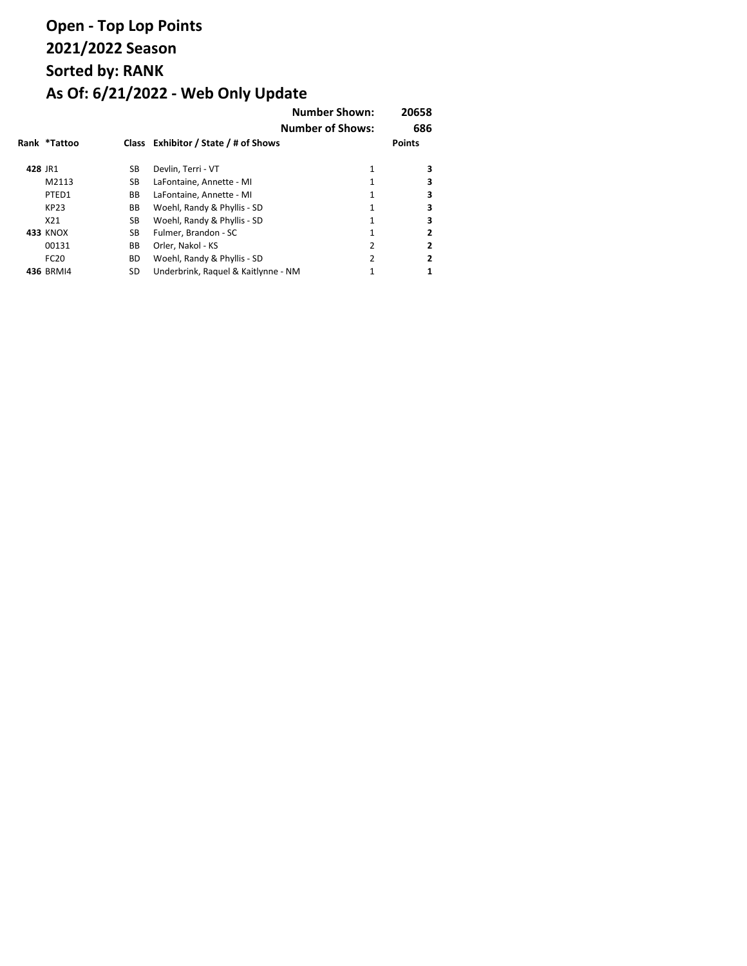|         |                 |           |                                      | <b>Number Shown:</b><br><b>Number of Shows:</b> | 20658<br>686  |
|---------|-----------------|-----------|--------------------------------------|-------------------------------------------------|---------------|
|         | Rank *Tattoo    |           | Class Exhibitor / State / # of Shows |                                                 | <b>Points</b> |
| 428 JR1 |                 | SB        | Devlin, Terri - VT                   | 1                                               | 3             |
|         | M2113           | SB        | LaFontaine, Annette - MI             | 1                                               | 3             |
|         | PTED1           | BB        | LaFontaine, Annette - MI             | 1                                               | 3             |
|         | KP23            | BB        | Woehl, Randy & Phyllis - SD          | 1                                               | 3             |
|         | X21             | SB        | Woehl, Randy & Phyllis - SD          | 1                                               | 3             |
|         | <b>433 KNOX</b> | SB        | Fulmer. Brandon - SC                 | 1                                               | 2             |
|         | 00131           | BB        | Orler, Nakol - KS                    | 2                                               | 2             |
|         | <b>FC20</b>     | <b>BD</b> | Woehl, Randy & Phyllis - SD          | 2                                               | 2             |
|         | 436 BRMI4       | SD        | Underbrink, Raquel & Kaitlynne - NM  |                                                 |               |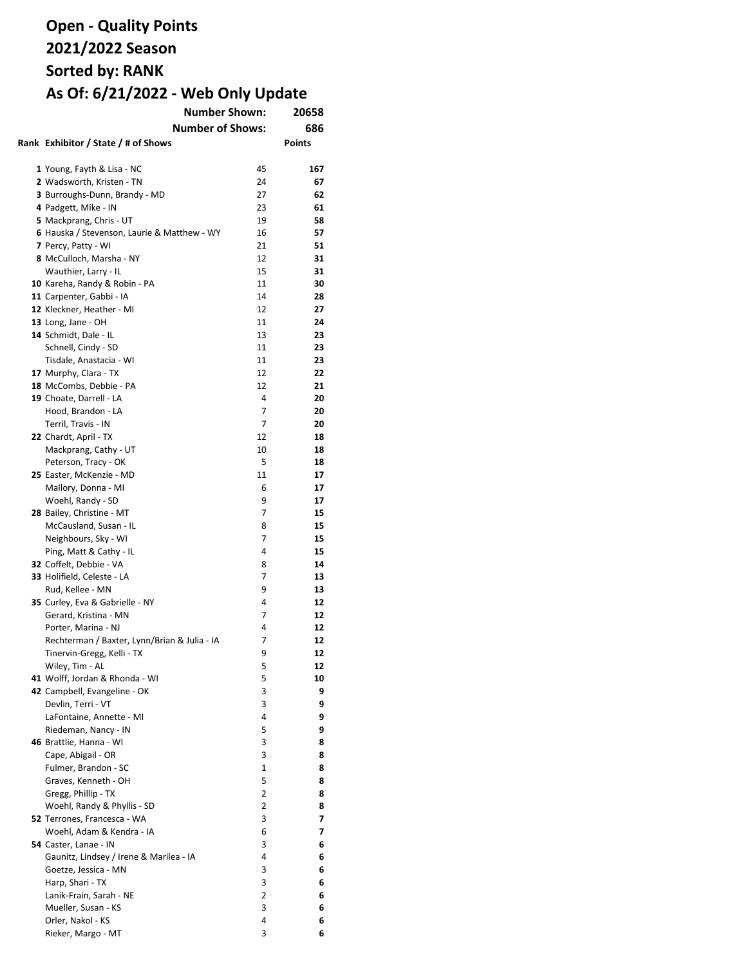| <b>Number Shown:</b>                         |    | 20658         |
|----------------------------------------------|----|---------------|
| <b>Number of Shows:</b>                      |    | 686           |
| Rank Exhibitor / State / # of Shows          |    | <b>Points</b> |
|                                              |    |               |
|                                              | 45 | 167           |
| 1 Young, Fayth & Lisa - NC                   |    |               |
| 2 Wadsworth, Kristen - TN                    | 24 | 67            |
| 3 Burroughs-Dunn, Brandy - MD                | 27 | 62            |
| 4 Padgett, Mike - IN                         | 23 | 61            |
| 5 Mackprang, Chris - UT                      | 19 | 58            |
| 6 Hauska / Stevenson, Laurie & Matthew - WY  | 16 | 57            |
| 7 Percy, Patty - WI                          | 21 | 51            |
| 8 McCulloch, Marsha - NY                     | 12 | 31            |
| Wauthier, Larry - IL                         | 15 | 31            |
| 10 Kareha, Randy & Robin - PA                | 11 | 30            |
| 11 Carpenter, Gabbi - IA                     | 14 | 28            |
| 12 Kleckner, Heather - MI                    | 12 | 27            |
| 13 Long, Jane - OH                           | 11 | 24            |
| 14 Schmidt, Dale - IL                        | 13 | 23            |
| Schnell, Cindy - SD                          | 11 | 23            |
| Tisdale, Anastacia - WI                      | 11 | 23            |
| 17 Murphy, Clara - TX                        | 12 | 22            |
| 18 McCombs, Debbie - PA                      | 12 | 21            |
| 19 Choate, Darrell - LA                      | 4  | 20            |
| Hood, Brandon - LA                           | 7  | 20            |
| Terril, Travis - IN                          | 7  | 20            |
| 22 Chardt, April - TX                        | 12 | 18            |
| Mackprang, Cathy - UT                        | 10 | 18            |
| Peterson, Tracy - OK                         | 5  | 18            |
| 25 Easter, McKenzie - MD                     | 11 | 17            |
| Mallory, Donna - MI                          | 6  | 17            |
| Woehl, Randy - SD                            | 9  | 17            |
| 28 Bailey, Christine - MT                    | 7  | 15            |
| McCausland, Susan - IL                       | 8  | 15            |
| Neighbours, Sky - WI                         | 7  | 15            |
| Ping, Matt & Cathy - IL                      | 4  | 15            |
| 32 Coffelt, Debbie - VA                      | 8  | 14            |
|                                              | 7  |               |
| 33 Holifield, Celeste - LA                   |    | 13            |
| Rud, Kellee - MN                             | 9  | 13            |
| 35 Curley, Eva & Gabrielle - NY              | 4  | 12            |
| Gerard, Kristina - MN                        | 7  | 12            |
| Porter, Marina - NJ                          | 4  | 12            |
| Rechterman / Baxter, Lynn/Brian & Julia - IA | 7  | 12            |
| Tinervin-Gregg, Kelli - TX                   | 9  | 12            |
| Wiley, Tim - AL                              | 5  | 12            |
| 41 Wolff, Jordan & Rhonda - WI               | 5  | 10            |
| 42 Campbell, Evangeline - OK                 | 3  | 9             |
| Devlin, Terri - VT                           | 3  | 9             |
| LaFontaine, Annette - MI                     | 4  | 9             |
| Riedeman, Nancy - IN                         | 5  | 9             |
| 46 Brattlie, Hanna - WI                      | 3  | 8             |
| Cape, Abigail - OR                           | 3  | 8             |
| Fulmer, Brandon - SC                         | 1  | 8             |
| Graves, Kenneth - OH                         | 5  | 8             |
| Gregg, Phillip - TX                          | 2  | 8             |
| Woehl, Randy & Phyllis - SD                  | 2  | 8             |
| 52 Terrones, Francesca - WA                  | 3  | 7             |
| Woehl, Adam & Kendra - IA                    | 6  | 7             |
| 54 Caster, Lanae - IN                        | 3  | 6             |
| Gaunitz, Lindsey / Irene & Marilea - IA      | 4  | 6             |
| Goetze, Jessica - MN                         | 3  | 6             |
| Harp, Shari - TX                             | 3  | 6             |
| Lanik-Frain, Sarah - NE                      | 2  | 6             |
| Mueller, Susan - KS                          | 3  | 6             |
| Orler, Nakol - KS                            | 4  | 6             |
| Rieker, Margo - MT                           | 3  | 6             |
|                                              |    |               |